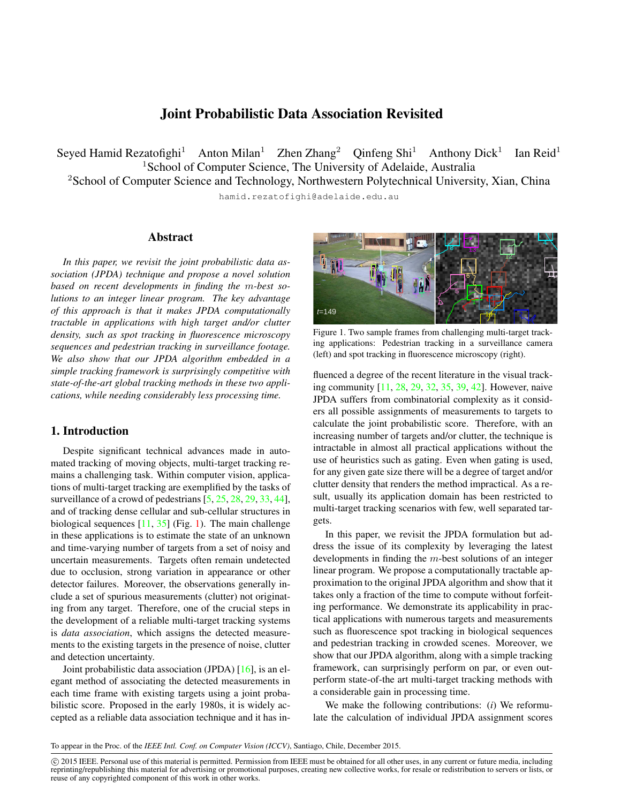# Joint Probabilistic Data Association Revisited

Seyed Hamid Rezatofighi<sup>1</sup> Anton Milan<sup>1</sup> Zhen Zhang<sup>2</sup> Oinfeng  $\text{Shi}^1$  Anthony Dick<sup>1</sup> Ian Reid<sup>1</sup> <sup>1</sup>School of Computer Science, The University of Adelaide, Australia

<sup>2</sup>School of Computer Science and Technology, Northwestern Polytechnical University, Xian, China hamid.rezatofighi@adelaide.edu.au

## Abstract

*In this paper, we revisit the joint probabilistic data association (JPDA) technique and propose a novel solution based on recent developments in finding the* m*-best solutions to an integer linear program. The key advantage of this approach is that it makes JPDA computationally tractable in applications with high target and/or clutter density, such as spot tracking in fluorescence microscopy sequences and pedestrian tracking in surveillance footage. We also show that our JPDA algorithm embedded in a simple tracking framework is surprisingly competitive with state-of-the-art global tracking methods in these two applications, while needing considerably less processing time.*

### <span id="page-0-1"></span>1. Introduction

Despite significant technical advances made in automated tracking of moving objects, multi-target tracking remains a challenging task. Within computer vision, applications of multi-target tracking are exemplified by the tasks of surveillance of a crowd of pedestrians  $[5, 25, 28, 29, 33, 44]$  $[5, 25, 28, 29, 33, 44]$  $[5, 25, 28, 29, 33, 44]$  $[5, 25, 28, 29, 33, 44]$  $[5, 25, 28, 29, 33, 44]$  $[5, 25, 28, 29, 33, 44]$  $[5, 25, 28, 29, 33, 44]$  $[5, 25, 28, 29, 33, 44]$  $[5, 25, 28, 29, 33, 44]$  $[5, 25, 28, 29, 33, 44]$  $[5, 25, 28, 29, 33, 44]$ , and of tracking dense cellular and sub-cellular structures in biological sequences  $[11, 35]$  $[11, 35]$  $[11, 35]$  (Fig. [1\)](#page-0-0). The main challenge in these applications is to estimate the state of an unknown and time-varying number of targets from a set of noisy and uncertain measurements. Targets often remain undetected due to occlusion, strong variation in appearance or other detector failures. Moreover, the observations generally include a set of spurious measurements (clutter) not originating from any target. Therefore, one of the crucial steps in the development of a reliable multi-target tracking systems is *data association*, which assigns the detected measurements to the existing targets in the presence of noise, clutter and detection uncertainty.

Joint probabilistic data association (JPDA) [\[16\]](#page-8-8), is an elegant method of associating the detected measurements in each time frame with existing targets using a joint probabilistic score. Proposed in the early 1980s, it is widely accepted as a reliable data association technique and it has in-



<span id="page-0-0"></span>Figure 1. Two sample frames from challenging multi-target tracking applications: Pedestrian tracking in a surveillance camera (left) and spot tracking in fluorescence microscopy (right).

fluenced a degree of the recent literature in the visual tracking community [\[11,](#page-8-6) [28,](#page-8-2) [29,](#page-8-3) [32,](#page-8-9) [35,](#page-8-7) [39,](#page-8-10) [42\]](#page-8-11). However, naive JPDA suffers from combinatorial complexity as it considers all possible assignments of measurements to targets to calculate the joint probabilistic score. Therefore, with an increasing number of targets and/or clutter, the technique is intractable in almost all practical applications without the use of heuristics such as gating. Even when gating is used, for any given gate size there will be a degree of target and/or clutter density that renders the method impractical. As a result, usually its application domain has been restricted to multi-target tracking scenarios with few, well separated targets.

In this paper, we revisit the JPDA formulation but address the issue of its complexity by leveraging the latest developments in finding the  $m$ -best solutions of an integer linear program. We propose a computationally tractable approximation to the original JPDA algorithm and show that it takes only a fraction of the time to compute without forfeiting performance. We demonstrate its applicability in practical applications with numerous targets and measurements such as fluorescence spot tracking in biological sequences and pedestrian tracking in crowded scenes. Moreover, we show that our JPDA algorithm, along with a simple tracking framework, can surprisingly perform on par, or even outperform state-of-the art multi-target tracking methods with a considerable gain in processing time.

We make the following contributions: (*i*) We reformulate the calculation of individual JPDA assignment scores

To appear in the Proc. of the *IEEE Intl. Conf. on Computer Vision (ICCV)*, Santiago, Chile, December 2015.

 c 2015 IEEE. Personal use of this material is permitted. Permission from IEEE must be obtained for all other uses, in any current or future media, including reprinting/republishing this material for advertising or promotional purposes, creating new collective works, for resale or redistribution to servers or lists, or reuse of any copyrighted component of this work in other works.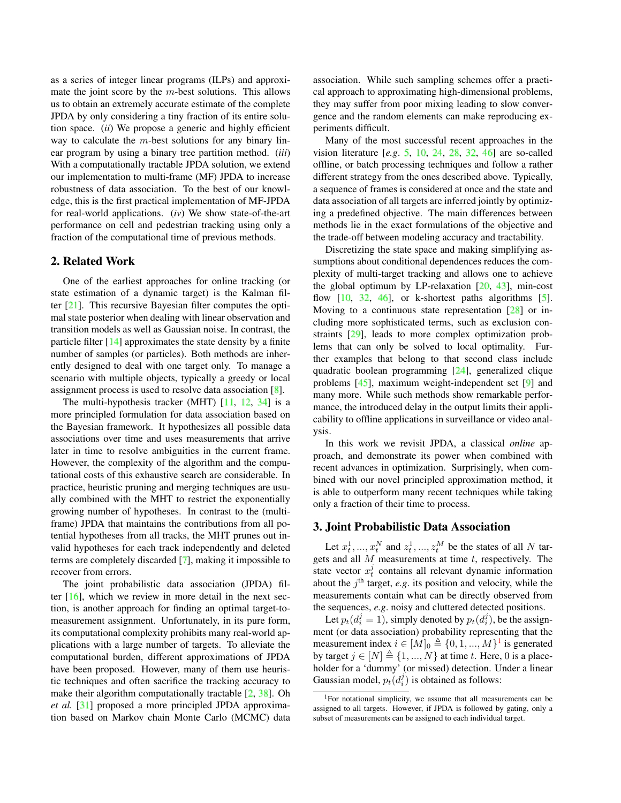as a series of integer linear programs (ILPs) and approximate the joint score by the  $m$ -best solutions. This allows us to obtain an extremely accurate estimate of the complete JPDA by only considering a tiny fraction of its entire solution space. (*ii*) We propose a generic and highly efficient way to calculate the  $m$ -best solutions for any binary linear program by using a binary tree partition method. (*iii*) With a computationally tractable JPDA solution, we extend our implementation to multi-frame (MF) JPDA to increase robustness of data association. To the best of our knowledge, this is the first practical implementation of MF-JPDA for real-world applications. (*iv*) We show state-of-the-art performance on cell and pedestrian tracking using only a fraction of the computational time of previous methods.

## 2. Related Work

One of the earliest approaches for online tracking (or state estimation of a dynamic target) is the Kalman filter [\[21\]](#page-8-12). This recursive Bayesian filter computes the optimal state posterior when dealing with linear observation and transition models as well as Gaussian noise. In contrast, the particle filter  $[14]$  approximates the state density by a finite number of samples (or particles). Both methods are inherently designed to deal with one target only. To manage a scenario with multiple objects, typically a greedy or local assignment process is used to resolve data association [\[8\]](#page-8-14).

The multi-hypothesis tracker (MHT)  $[11, 12, 34]$  $[11, 12, 34]$  $[11, 12, 34]$  $[11, 12, 34]$  $[11, 12, 34]$  is a more principled formulation for data association based on the Bayesian framework. It hypothesizes all possible data associations over time and uses measurements that arrive later in time to resolve ambiguities in the current frame. However, the complexity of the algorithm and the computational costs of this exhaustive search are considerable. In practice, heuristic pruning and merging techniques are usually combined with the MHT to restrict the exponentially growing number of hypotheses. In contrast to the (multiframe) JPDA that maintains the contributions from all potential hypotheses from all tracks, the MHT prunes out invalid hypotheses for each track independently and deleted terms are completely discarded [\[7\]](#page-8-17), making it impossible to recover from errors.

The joint probabilistic data association (JPDA) filter  $[16]$ , which we review in more detail in the next section, is another approach for finding an optimal target-tomeasurement assignment. Unfortunately, in its pure form, its computational complexity prohibits many real-world applications with a large number of targets. To alleviate the computational burden, different approximations of JPDA have been proposed. However, many of them use heuristic techniques and often sacrifice the tracking accuracy to make their algorithm computationally tractable [\[2,](#page-8-18) [38\]](#page-8-19). Oh *et al.* [\[31\]](#page-8-20) proposed a more principled JPDA approximation based on Markov chain Monte Carlo (MCMC) data association. While such sampling schemes offer a practical approach to approximating high-dimensional problems, they may suffer from poor mixing leading to slow convergence and the random elements can make reproducing experiments difficult.

Many of the most successful recent approaches in the vision literature [*e.g*. [5,](#page-8-0) [10,](#page-8-21) [24,](#page-8-22) [28,](#page-8-2) [32,](#page-8-9) [46\]](#page-8-23) are so-called offline, or batch processing techniques and follow a rather different strategy from the ones described above. Typically, a sequence of frames is considered at once and the state and data association of all targets are inferred jointly by optimizing a predefined objective. The main differences between methods lie in the exact formulations of the objective and the trade-off between modeling accuracy and tractability.

Discretizing the state space and making simplifying assumptions about conditional dependences reduces the complexity of multi-target tracking and allows one to achieve the global optimum by LP-relaxation  $[20, 43]$  $[20, 43]$  $[20, 43]$ , min-cost flow  $[10, 32, 46]$  $[10, 32, 46]$  $[10, 32, 46]$  $[10, 32, 46]$  $[10, 32, 46]$ , or k-shortest paths algorithms  $[5]$ . Moving to a continuous state representation [\[28\]](#page-8-2) or including more sophisticated terms, such as exclusion constraints [\[29\]](#page-8-3), leads to more complex optimization problems that can only be solved to local optimality. Further examples that belong to that second class include quadratic boolean programming [\[24\]](#page-8-22), generalized clique problems [\[45\]](#page-8-26), maximum weight-independent set [\[9\]](#page-8-27) and many more. While such methods show remarkable performance, the introduced delay in the output limits their applicability to offline applications in surveillance or video analysis.

In this work we revisit JPDA, a classical *online* approach, and demonstrate its power when combined with recent advances in optimization. Surprisingly, when combined with our novel principled approximation method, it is able to outperform many recent techniques while taking only a fraction of their time to process.

# 3. Joint Probabilistic Data Association

Let  $x_t^1, ..., x_t^N$  and  $z_t^1, ..., z_t^M$  be the states of all N targets and all  $M$  measurements at time  $t$ , respectively. The state vector  $x_t^j$  contains all relevant dynamic information about the  $j<sup>th</sup>$  target, *e.g.* its position and velocity, while the measurements contain what can be directly observed from the sequences, *e.g*. noisy and cluttered detected positions.

Let  $p_t(d_i^j = 1)$ , simply denoted by  $p_t(d_i^j)$ , be the assignment (or data association) probability representing that the measurement index  $i \in [M]_0 \triangleq \{0, 1, ..., M\}^1$  $i \in [M]_0 \triangleq \{0, 1, ..., M\}^1$  $i \in [M]_0 \triangleq \{0, 1, ..., M\}^1$  is generated by target  $j \in [N] \triangleq \{1, ..., N\}$  at time t. Here, 0 is a placeholder for a 'dummy' (or missed) detection. Under a linear Gaussian model,  $p_t(d_i^j)$  is obtained as follows:

<span id="page-1-0"></span><sup>&</sup>lt;sup>1</sup>For notational simplicity, we assume that all measurements can be assigned to all targets. However, if JPDA is followed by gating, only a subset of measurements can be assigned to each individual target.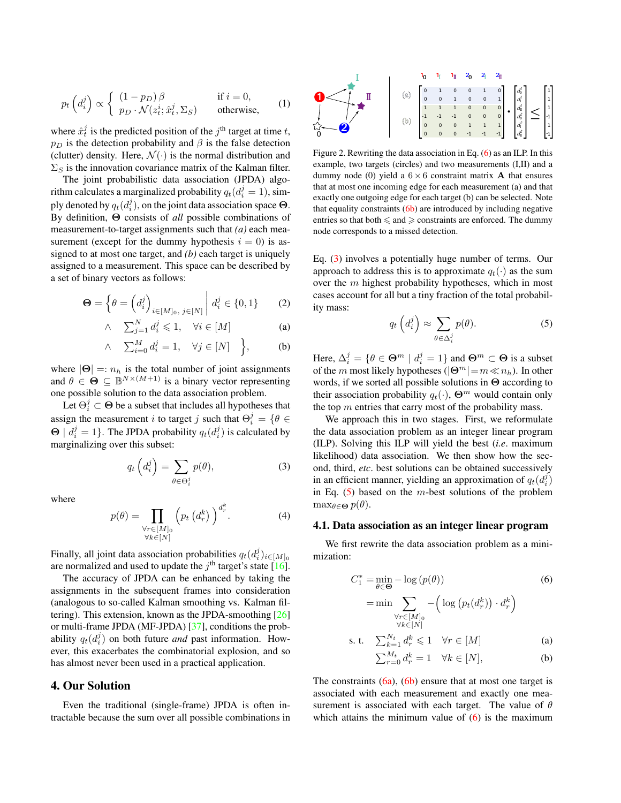$$
p_t\left(d_i^j\right) \propto \begin{cases} (1 - p_D)\beta & \text{if } i = 0, \\ p_D \cdot \mathcal{N}(z_t^i; \hat{x}_t^j, \Sigma_S) & \text{otherwise,} \end{cases}
$$
 (1)

where  $\hat{x}_t^j$  is the predicted position of the  $j^{\text{th}}$  target at time t,  $p<sub>D</sub>$  is the detection probability and  $\beta$  is the false detection (clutter) density. Here,  $\mathcal{N}(\cdot)$  is the normal distribution and  $\Sigma_S$  is the innovation covariance matrix of the Kalman filter.

The joint probabilistic data association (JPDA) algorithm calculates a marginalized probability  $q_t(d_i^j = 1)$ , simply denoted by  $q_t(d_i^j)$ , on the joint data association space  $\Theta$ . By definition, Θ consists of *all* possible combinations of measurement-to-target assignments such that *(a)* each measurement (except for the dummy hypothesis  $i = 0$ ) is assigned to at most one target, and *(b)* each target is uniquely assigned to a measurement. This space can be described by a set of binary vectors as follows:

$$
\mathbf{\Theta} = \left\{ \theta = \left( d_i^j \right)_{i \in [M]_0, \ j \in [N]} \middle| \ d_i^j \in \{0, 1\} \right\}
$$
 (2)

$$
\wedge \quad \sum_{j=1}^{N} d_i^j \leq 1, \quad \forall i \in [M]
$$
 (a)

$$
\wedge \quad \sum_{i=0}^{M} d_i^j = 1, \quad \forall j \in [N] \quad \Big\}, \tag{b}
$$

where  $|\Theta| =: n_h$  is the total number of joint assignments and  $\theta \in \Theta \subseteq \mathbb{B}^{N \times (M+1)}$  is a binary vector representing one possible solution to the data association problem.

Let  $\Theta_i^j \subset \Theta$  be a subset that includes all hypotheses that assign the measurement *i* to target *j* such that  $\Theta_i^j = \{ \theta \in$  $\Theta$  |  $d_i^j = 1$ }. The JPDA probability  $q_t(d_i^j)$  is calculated by marginalizing over this subset:

<span id="page-2-2"></span>
$$
q_t\left(d_i^j\right) = \sum_{\theta \in \Theta_i^j} p(\theta),\tag{3}
$$

where

$$
p(\theta) = \prod_{\substack{\forall r \in [M]_0 \\ \forall k \in [N]}} \left( p_t \left( d_r^k \right) \right)^{d_r^k} . \tag{4}
$$

Finally, all joint data association probabilities  $q_t(d_i^j)_{i \in [M]_0}$ are normalized and used to update the  $j<sup>th</sup>$  target's state [\[16\]](#page-8-8).

The accuracy of JPDA can be enhanced by taking the assignments in the subsequent frames into consideration (analogous to so-called Kalman smoothing vs. Kalman filtering). This extension, known as the JPDA-smoothing  $[26]$ or multi-frame JPDA (MF-JPDA) [\[37\]](#page-8-29), conditions the probability  $q_t(d_i^j)$  on both future *and* past information. However, this exacerbates the combinatorial explosion, and so has almost never been used in a practical application.

## 4. Our Solution

Even the traditional (single-frame) JPDA is often intractable because the sum over all possible combinations in



<span id="page-2-5"></span>Figure 2. Rewriting the data association in Eq. [\(6\)](#page-2-0) as an ILP. In this example, two targets (circles) and two measurements (I,II) and a dummy node (0) yield a  $6 \times 6$  constraint matrix **A** that ensures that at most one incoming edge for each measurement (a) and that exactly one outgoing edge for each target (b) can be selected. Note that equality constraints  $(6b)$  $(6b)$  are introduced by including negative entries so that both  $\leq$  and  $\geq$  constraints are enforced. The dummy node corresponds to a missed detection.

Eq. [\(3\)](#page-2-2) involves a potentially huge number of terms. Our approach to address this is to approximate  $q_t(\cdot)$  as the sum over the m highest probability hypotheses, which in most cases account for all but a tiny fraction of the total probability mass:

<span id="page-2-3"></span>
$$
q_t\left(d_i^j\right) \approx \sum_{\theta \in \Delta_i^j} p(\theta). \tag{5}
$$

Here,  $\Delta_i^j = \{ \theta \in \Theta^m \mid d_i^j = 1 \}$  and  $\Theta^m \subset \Theta$  is a subset of the m most likely hypotheses ( $|\mathbf{\Theta}^m|=m\ll n_h$ ). In other words, if we sorted all possible solutions in Θ according to their association probability  $q_t(\cdot)$ ,  $\Theta^m$  would contain only the top  $m$  entries that carry most of the probability mass.

We approach this in two stages. First, we reformulate the data association problem as an integer linear program (ILP). Solving this ILP will yield the best (*i.e*. maximum likelihood) data association. We then show how the second, third, *etc*. best solutions can be obtained successively in an efficient manner, yielding an approximation of  $q_t(d_i^j)$ in Eq.  $(5)$  based on the *m*-best solutions of the problem  $\max_{\theta \in \Theta} p(\theta)$ .

### 4.1. Data association as an integer linear program

We first rewrite the data association problem as a minimization:

<span id="page-2-0"></span>
$$
C_1^* = \min_{\theta \in \Theta} -\log (p(\theta))
$$
(6)  
= min 
$$
\sum_{\forall r \in [M]_0} -\left(\log (p_t(d_r^k)) \cdot d_r^k\right)
$$

$$
\forall k \in [N] \n\text{s. t.} \quad \sum_{k=1}^{N_t} d_r^k \leq 1 \quad \forall r \in [M]
$$
\n(a)

<span id="page-2-4"></span><span id="page-2-1"></span>
$$
\sum_{r=0}^{M_t} d_r^k = 1 \quad \forall k \in [N], \tag{b}
$$

The constraints  $(6a)$  $(6a)$ ,  $(6b)$  $(6b)$  ensure that at most one target is associated with each measurement and exactly one measurement is associated with each target. The value of  $\theta$ which attains the minimum value of  $(6)$  is the maximum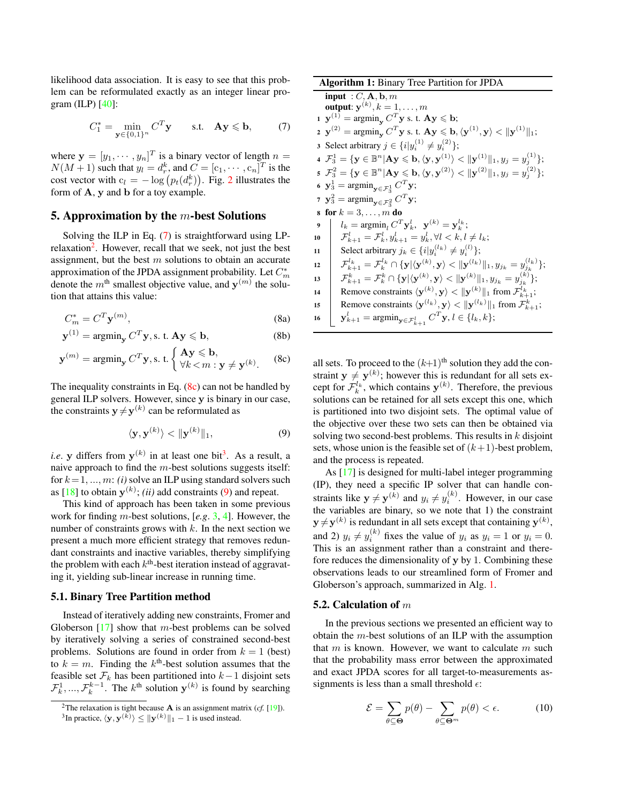likelihood data association. It is easy to see that this problem can be reformulated exactly as an integer linear program  $(ILP)$   $[40]$ :

<span id="page-3-0"></span>
$$
C_1^* = \min_{\mathbf{y} \in \{0,1\}^n} C^T \mathbf{y} \quad \text{s.t.} \quad \mathbf{A}\mathbf{y} \leq \mathbf{b}, \tag{7}
$$

where  $\mathbf{y} = [y_1, \dots, y_n]^T$  is a binary vector of length  $n =$  $N(M+1)$  such that  $y_l = d_r^k$ , and  $C = [c_1, \dots, c_n]^T$  is the cost vector with  $c_l = -\log (p_t(d_r^k))$ . Fig. [2](#page-2-5) illustrates the form of A, y and b for a toy example.

### <span id="page-3-7"></span>5. Approximation by the  $m$ -best Solutions

Solving the ILP in Eq. [\(7\)](#page-3-0) is straightforward using LP-relaxation<sup>[2](#page-3-1)</sup>. However, recall that we seek, not just the best assignment, but the best  $m$  solutions to obtain an accurate approximation of the JPDA assignment probability. Let  $C_m^*$ denote the  $m^{\text{th}}$  smallest objective value, and  $y^{(m)}$  the solution that attains this value:

$$
C_m^* = C^T \mathbf{y}^{(m)},\tag{8a}
$$

$$
\mathbf{y}^{(1)} = \operatorname{argmin}_{\mathbf{y}} C^T \mathbf{y}, \text{s. t. } \mathbf{A} \mathbf{y} \leqslant \mathbf{b}, \tag{8b}
$$

$$
\mathbf{y}^{(m)} = \operatorname{argmin}_{\mathbf{y}} C^T \mathbf{y}, \text{s. t.} \begin{cases} \mathbf{A} \mathbf{y} \leqslant \mathbf{b}, \\ \forall k < m : \mathbf{y} \neq \mathbf{y}^{(k)}. \end{cases} \tag{8c}
$$

The inequality constraints in Eq.  $(8c)$  can not be handled by general ILP solvers. However, since y is binary in our case, the constraints  $y \neq y^{(k)}$  can be reformulated as

<span id="page-3-4"></span>
$$
\langle \mathbf{y}, \mathbf{y}^{(k)} \rangle < \| \mathbf{y}^{(k)} \|_1,\tag{9}
$$

*i.e.* y differs from  $y^{(k)}$  in at least one bit<sup>[3](#page-3-3)</sup>. As a result, a naive approach to find the  $m$ -best solutions suggests itself: for  $k = 1, ..., m$ : *(i)* solve an ILP using standard solvers such as  $[18]$  to obtain  $y^{(k)}$ ; *(ii)* add constraints [\(9\)](#page-3-4) and repeat.

This kind of approach has been taken in some previous work for finding m-best solutions, [*e.g*. [3,](#page-8-32) [4\]](#page-8-33). However, the number of constraints grows with  $k$ . In the next section we present a much more efficient strategy that removes redundant constraints and inactive variables, thereby simplifying the problem with each  $k^{\text{th}}$ -best iteration instead of aggravating it, yielding sub-linear increase in running time.

# 5.1. Binary Tree Partition method

Instead of iteratively adding new constraints, Fromer and Globerson  $[17]$  show that *m*-best problems can be solved by iteratively solving a series of constrained second-best problems. Solutions are found in order from  $k = 1$  (best) to  $k = m$ . Finding the  $k^{\text{th}}$ -best solution assumes that the feasible set  $\mathcal{F}_k$  has been partitioned into  $k-1$  disjoint sets  $\mathcal{F}_k^1, ..., \mathcal{F}_k^{k-1}$ . The  $k^{\text{th}}$  solution  $\mathbf{y}^{(k)}$  is found by searching

Algorithm 1: Binary Tree Partition for JPDA  $\overline{\text{input}: C, \text{A}, \text{b}, m}$ output:  $\mathbf{y}^{(k)}, k=1,\ldots,m$  $\mathbf{1} \mathbf{y}^{(1)} = \operatorname{argmin}_{\mathbf{y}} C^T \mathbf{y}$  s. t.  $\mathbf{A} \mathbf{y} \leqslant \mathbf{b}$ ;  $\mathbf{y}^{(2)} = \mathop{\rm argmin}_{\mathbf{y}} C^T \mathbf{y} \text{ s. t. } \mathbf{A} \mathbf{y} \leqslant \mathbf{b}, \langle \mathbf{y}^{(1)}, \mathbf{y} \rangle < \|\mathbf{y}^{(1)}\|_1;$ 3 Select arbitrary  $j \in \{i | y_i^{(1)} \neq y_i^{(2)}\};$  $\mathbf{4}\;\;\mathcal{F}^1_3=\{\mathbf{y}\in \mathbb{B}^n|\mathbf{A}\mathbf{y}\leqslant \mathbf{b},\langle \mathbf{y},\mathbf{y}^{(1)}\rangle<\|\mathbf{y}^{(1)}\|_1, y_j=y_j^{(1)}\};$  $\mathbf{5}\ \ \mathcal{F}_3^2=\{\mathbf{y}\in \mathbb{B}^n|\mathbf{A}\mathbf{y}\leqslant \mathbf{b},\langle \mathbf{y},\mathbf{y}^{(2)}\rangle<\|\mathbf{y}^{(2)}\|_1, y_j=y_j^{(2)}\};$ 6  $y_3^1 = \operatorname{argmin}_{y \in \mathcal{F}_3^1} C^T y;$ 7  $\mathbf{y}_3^2 = \operatorname{argmin}_{\mathbf{y} \in \mathcal{F}_3^2} C^T \mathbf{y};$ 8 for  $k = 3, ..., m$  do 9  $l_k = \text{argmin}_l C^T \mathbf{y}_k^l, \ \ \mathbf{y}^{(k)} = \mathbf{y}_k^{l_k};$  $\begin{array}{ll} \textbf{10} & \end{array} \quad \mathcal{F}^l_{k+1} = \mathcal{F}^l_{k}, y^l_{k+1} = y^l_{k}, \forall l < k, l \neq l_k;$ 11 Select arbitrary  $j_k \in \{i | y_i^{(l_k)} \neq y_i^{(l)}\};$  $\mathcal{F}^{l_k}_{k+1} = \mathcal{F}^{l_k}_k \cap \{ \mathbf{y} | \langle \mathbf{y}^{(k)}, \mathbf{y} \rangle < \| \mathbf{y}^{(l_k)} \|_1, y_{j_k} = y_{j_k}^{(l_k)} \};$  $\begin{array}{ll} \textbf{13} & \left| & \mathcal{F}^k_{k+1} = \mathcal{F}^k_{k} \cap \{ \textbf{y} | \langle \textbf{y}^{(k)}, \textbf{y} \rangle < \|\textbf{y}^{(k)}\|_1, y_{j_k} = y^{(k)}_{j_k} \}; \end{array} \right.$ 14 Remove constraints  $\langle \mathbf{y}^{(k)}, \mathbf{y} \rangle < ||\mathbf{y}^{(k)}||_1$  from  $\mathcal{F}_{k+1}^{l_k}$ ; 15 Remove constraints  $\langle \mathbf{y}^{(l_k)}, \mathbf{y} \rangle \langle \| \mathbf{y}^{(l_k)} \|_1$  from  $\mathcal{F}^k_{k+1}$ ; 16  $\bigcup_{k=1}^{l} \mathbf{y}_{k+1}^{l} = \operatorname{argmin}_{\mathbf{y} \in \mathcal{F}_{k+1}^{l}} C^{T} \mathbf{y}, l \in \{l_k, k\};$ 

<span id="page-3-2"></span>all sets. To proceed to the  $(k+1)$ <sup>th</sup> solution they add the constraint  $y \neq y^{(k)}$ ; however this is redundant for all sets except for  $\mathcal{F}_k^{l_k}$ , which contains  $\mathbf{y}^{(k)}$ . Therefore, the previous solutions can be retained for all sets except this one, which is partitioned into two disjoint sets. The optimal value of the objective over these two sets can then be obtained via solving two second-best problems. This results in  $k$  disjoint sets, whose union is the feasible set of  $(k+1)$ -best problem, and the process is repeated.

As [\[17\]](#page-8-34) is designed for multi-label integer programming (IP), they need a specific IP solver that can handle constraints like  $y \neq y^{(k)}$  and  $y_i \neq y_i^{(k)}$ . However, in our case the variables are binary, so we note that 1) the constraint  $y \neq y^{(k)}$  is redundant in all sets except that containing  $y^{(k)}$ , and 2)  $y_i \neq y_i^{(k)}$  fixes the value of  $y_i$  as  $y_i = 1$  or  $y_i = 0$ . This is an assignment rather than a constraint and therefore reduces the dimensionality of  $\bf{v}$  by 1. Combining these observations leads to our streamlined form of Fromer and Globerson's approach, summarized in Alg. [1.](#page-3-5)

#### <span id="page-3-5"></span>5.2. Calculation of  $m$

In the previous sections we presented an efficient way to obtain the m-best solutions of an ILP with the assumption that  $m$  is known. However, we want to calculate  $m$  such that the probability mass error between the approximated and exact JPDA scores for all target-to-measurements assignments is less than a small threshold  $\epsilon$ :

<span id="page-3-6"></span>
$$
\mathcal{E} = \sum_{\theta \subseteq \Theta} p(\theta) - \sum_{\theta \subseteq \Theta^m} p(\theta) < \epsilon. \tag{10}
$$

<span id="page-3-1"></span><sup>&</sup>lt;sup>2</sup>The relaxation is tight because **A** is an assignment matrix (*cf.* [\[19\]](#page-8-35)).

<span id="page-3-3"></span><sup>&</sup>lt;sup>3</sup>In practice,  $\langle y, y^{(k)} \rangle \le ||y^{(k)}||_1 - 1$  is used instead.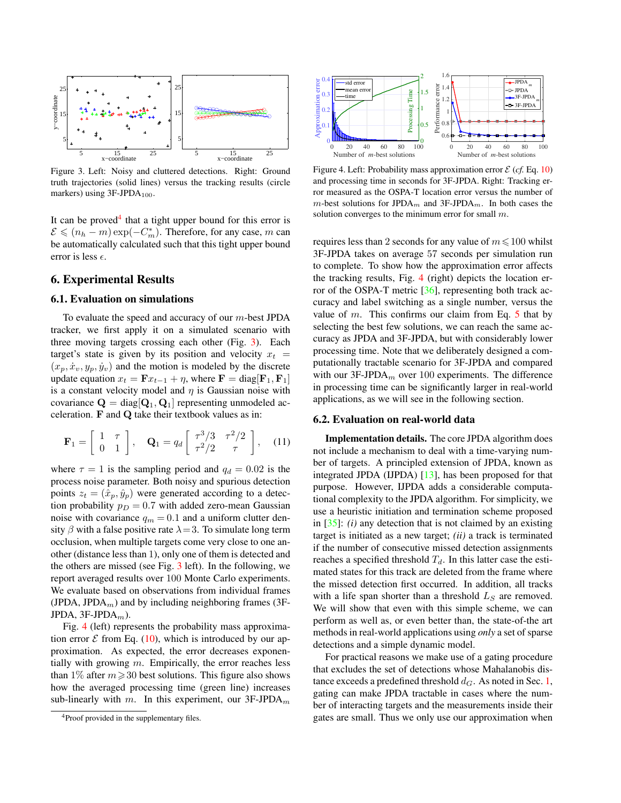

<span id="page-4-1"></span>Figure 3. Left: Noisy and cluttered detections. Right: Ground truth trajectories (solid lines) versus the tracking results (circle markers) using  $3F-JPDA_{100}$ .

It can be proved<sup>[4](#page-4-0)</sup> that a tight upper bound for this error is  $\mathcal{E} \leqslant (n_h - m) \exp(-C_m^*)$ . Therefore, for any case, m can be automatically calculated such that this tight upper bound error is less  $\epsilon$ .

# 6. Experimental Results

### <span id="page-4-3"></span>6.1. Evaluation on simulations

To evaluate the speed and accuracy of our  $m$ -best JPDA tracker, we first apply it on a simulated scenario with three moving targets crossing each other (Fig. [3\)](#page-4-1). Each target's state is given by its position and velocity  $x_t =$  $(x_p, \dot{x}_v, y_p, \dot{y}_v)$  and the motion is modeled by the discrete update equation  $x_t = \mathbf{F} x_{t-1} + \eta$ , where  $\mathbf{F} = \text{diag}[\mathbf{F}_1, \mathbf{F}_1]$ is a constant velocity model and  $\eta$  is Gaussian noise with covariance  $\mathbf{Q} = \text{diag}[\mathbf{Q}_1, \mathbf{Q}_1]$  representing unmodeled acceleration. F and Q take their textbook values as in:

$$
\mathbf{F}_1 = \begin{bmatrix} 1 & \tau \\ 0 & 1 \end{bmatrix}, \quad \mathbf{Q}_1 = q_d \begin{bmatrix} \tau^3/3 & \tau^2/2 \\ \tau^2/2 & \tau \end{bmatrix}, \quad (11)
$$

where  $\tau = 1$  is the sampling period and  $q_d = 0.02$  is the process noise parameter. Both noisy and spurious detection points  $z_t = (\hat{x}_p, \hat{y}_p)$  were generated according to a detection probability  $p_D = 0.7$  with added zero-mean Gaussian noise with covariance  $q_m = 0.1$  and a uniform clutter density  $\beta$  with a false positive rate  $\lambda = 3$ . To simulate long term occlusion, when multiple targets come very close to one another (distance less than 1), only one of them is detected and the others are missed (see Fig. [3](#page-4-1) left). In the following, we report averaged results over 100 Monte Carlo experiments. We evaluate based on observations from individual frames (JPDA, JPDA $_m$ ) and by including neighboring frames (3F-JPDA,  $3F-JPDA_m$ ).

Fig. [4](#page-4-2) (left) represents the probability mass approximation error  $\mathcal E$  from Eq. [\(10\)](#page-3-6), which is introduced by our approximation. As expected, the error decreases exponentially with growing  $m$ . Empirically, the error reaches less than 1% after  $m \ge 30$  best solutions. This figure also shows how the averaged processing time (green line) increases sub-linearly with m. In this experiment, our  $3F-JPDA_m$ 



<span id="page-4-2"></span>Figure 4. Left: Probability mass approximation error  $\mathcal{E}$  (*cf.* Eq. [10\)](#page-3-6) and processing time in seconds for 3F-JPDA. Right: Tracking error measured as the OSPA-T location error versus the number of m-best solutions for JPDA<sub>m</sub> and 3F-JPDA<sub>m</sub>. In both cases the solution converges to the minimum error for small m.

requires less than 2 seconds for any value of  $m \le 100$  whilst 3F-JPDA takes on average 57 seconds per simulation run to complete. To show how the approximation error affects the tracking results, Fig. [4](#page-4-2) (right) depicts the location error of the OSPA-T metric [\[36\]](#page-8-36), representing both track accuracy and label switching as a single number, versus the value of m. This confirms our claim from Eq.  $5$  that by selecting the best few solutions, we can reach the same accuracy as JPDA and 3F-JPDA, but with considerably lower processing time. Note that we deliberately designed a computationally tractable scenario for 3F-JPDA and compared with our  $3F$ -JPDA<sub>m</sub> over 100 experiments. The difference in processing time can be significantly larger in real-world applications, as we will see in the following section.

### 6.2. Evaluation on real-world data

Implementation details. The core JPDA algorithm does not include a mechanism to deal with a time-varying number of targets. A principled extension of JPDA, known as integrated JPDA (IJPDA) [\[13\]](#page-8-37), has been proposed for that purpose. However, IJPDA adds a considerable computational complexity to the JPDA algorithm. For simplicity, we use a heuristic initiation and termination scheme proposed in [\[35\]](#page-8-7): *(i)* any detection that is not claimed by an existing target is initiated as a new target; *(ii)* a track is terminated if the number of consecutive missed detection assignments reaches a specified threshold  $T<sub>d</sub>$ . In this latter case the estimated states for this track are deleted from the frame where the missed detection first occurred. In addition, all tracks with a life span shorter than a threshold  $L<sub>S</sub>$  are removed. We will show that even with this simple scheme, we can perform as well as, or even better than, the state-of-the art methods in real-world applications using *only* a set of sparse detections and a simple dynamic model.

For practical reasons we make use of a gating procedure that excludes the set of detections whose Mahalanobis distance exceeds a predefined threshold  $d_G$ . As noted in Sec. [1,](#page-0-1) gating can make JPDA tractable in cases where the number of interacting targets and the measurements inside their gates are small. Thus we only use our approximation when

<span id="page-4-0"></span><sup>&</sup>lt;sup>4</sup>Proof provided in the supplementary files.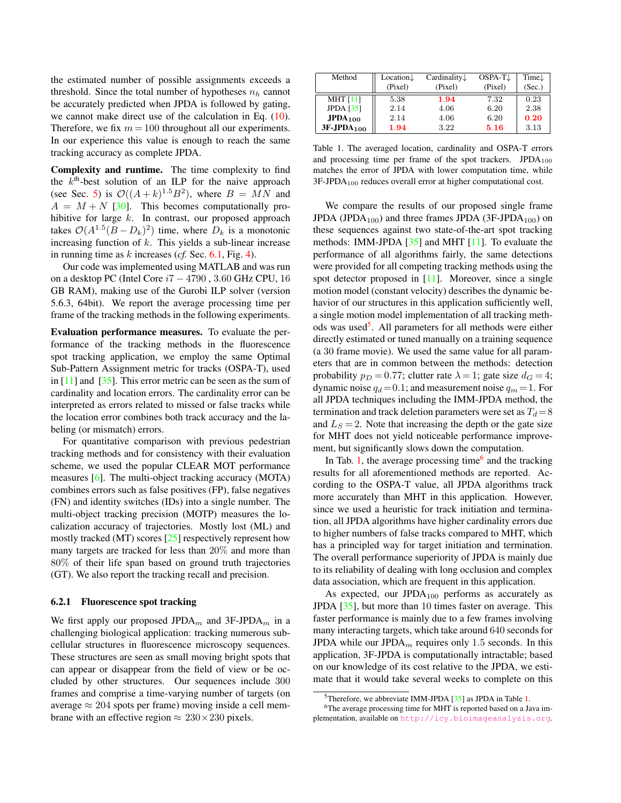the estimated number of possible assignments exceeds a threshold. Since the total number of hypotheses  $n_h$  cannot be accurately predicted when JPDA is followed by gating, we cannot make direct use of the calculation in Eq. [\(10\)](#page-3-6). Therefore, we fix  $m = 100$  throughout all our experiments. In our experience this value is enough to reach the same tracking accuracy as complete JPDA.

Complexity and runtime. The time complexity to find the  $k<sup>th</sup>$ -best solution of an ILP for the naive approach (see Sec. [5\)](#page-3-7) is  $\mathcal{O}((A+k)^{1.5}B^2)$ , where  $B = MN$  and  $A = M + N$  [\[30\]](#page-8-38). This becomes computationally prohibitive for large  $k$ . In contrast, our proposed approach takes  $O(A^{1.5}(B - D_k)^2)$  time, where  $D_k$  is a monotonic increasing function of  $k$ . This yields a sub-linear increase in running time as k increases (*cf.* Sec. [6.1,](#page-4-3) Fig. [4\)](#page-4-2).

Our code was implemented using MATLAB and was run on a desktop PC (Intel Core i7 − 4790 , 3.60 GHz CPU, 16 GB RAM), making use of the Gurobi ILP solver (version 5.6.3, 64bit). We report the average processing time per frame of the tracking methods in the following experiments.

Evaluation performance measures. To evaluate the performance of the tracking methods in the fluorescence spot tracking application, we employ the same Optimal Sub-Pattern Assignment metric for tracks (OSPA-T), used in [\[11\]](#page-8-6) and [\[35\]](#page-8-7). This error metric can be seen as the sum of cardinality and location errors. The cardinality error can be interpreted as errors related to missed or false tracks while the location error combines both track accuracy and the labeling (or mismatch) errors.

For quantitative comparison with previous pedestrian tracking methods and for consistency with their evaluation scheme, we used the popular CLEAR MOT performance measures [\[6\]](#page-8-39). The multi-object tracking accuracy (MOTA) combines errors such as false positives (FP), false negatives (FN) and identity switches (IDs) into a single number. The multi-object tracking precision (MOTP) measures the localization accuracy of trajectories. Mostly lost (ML) and mostly tracked (MT) scores [\[25\]](#page-8-1) respectively represent how many targets are tracked for less than 20% and more than 80% of their life span based on ground truth trajectories (GT). We also report the tracking recall and precision.

### 6.2.1 Fluorescence spot tracking

We first apply our proposed JPDA<sub>m</sub> and 3F-JPDA<sub>m</sub> in a challenging biological application: tracking numerous subcellular structures in fluorescence microscopy sequences. These structures are seen as small moving bright spots that can appear or disappear from the field of view or be occluded by other structures. Our sequences include 300 frames and comprise a time-varying number of targets (on average  $\approx 204$  spots per frame) moving inside a cell membrane with an effective region  $\approx 230 \times 230$  pixels.

| Method          | Location $\downarrow$ | Cardinality $\downarrow$ | OSPA-T <sub>J</sub> | Time $\downarrow$ |
|-----------------|-----------------------|--------------------------|---------------------|-------------------|
|                 | (Pixel)               | (Pixel)                  | (Pixel)             | (Sec.)            |
| <b>MHT</b> [11] | 5.38                  | 1.94                     | 7.32                | 0.23              |
| JPDA [35]       | 2.14                  | 4.06                     | 6.20                | 2.38              |
| $JPDA_{100}$    | 2.14                  | 4.06                     | 6.20                | 0.20              |
| $3F-JPDA100$    | 1.94                  | 3.22                     | 5.16                | 3.13              |

<span id="page-5-1"></span>Table 1. The averaged location, cardinality and OSPA-T errors and processing time per frame of the spot trackers.  $JPDA_{100}$ matches the error of JPDA with lower computation time, while  $3F-JPDA<sub>100</sub>$  reduces overall error at higher computational cost.

We compare the results of our proposed single frame JPDA (JPDA<sub>100</sub>) and three frames JPDA (3F-JPDA<sub>100</sub>) on these sequences against two state-of-the-art spot tracking methods: IMM-JPDA [\[35\]](#page-8-7) and MHT [\[11\]](#page-8-6). To evaluate the performance of all algorithms fairly, the same detections were provided for all competing tracking methods using the spot detector proposed in [\[11\]](#page-8-6). Moreover, since a single motion model (constant velocity) describes the dynamic behavior of our structures in this application sufficiently well, a single motion model implementation of all tracking meth-ods was used<sup>[5](#page-5-0)</sup>. All parameters for all methods were either directly estimated or tuned manually on a training sequence (a 30 frame movie). We used the same value for all parameters that are in common between the methods: detection probability  $p_D = 0.77$ ; clutter rate  $\lambda = 1$ ; gate size  $d_G = 4$ ; dynamic noise  $q_d = 0.1$ ; and measurement noise  $q_m = 1$ . For all JPDA techniques including the IMM-JPDA method, the termination and track deletion parameters were set as  $T_d = 8$ and  $L<sub>S</sub> = 2$ . Note that increasing the depth or the gate size for MHT does not yield noticeable performance improvement, but significantly slows down the computation.

In Tab. [1,](#page-5-1) the average processing time<sup>[6](#page-5-2)</sup> and the tracking results for all aforementioned methods are reported. According to the OSPA-T value, all JPDA algorithms track more accurately than MHT in this application. However, since we used a heuristic for track initiation and termination, all JPDA algorithms have higher cardinality errors due to higher numbers of false tracks compared to MHT, which has a principled way for target initiation and termination. The overall performance superiority of JPDA is mainly due to its reliability of dealing with long occlusion and complex data association, which are frequent in this application.

As expected, our  $\text{IPDA}_{100}$  performs as accurately as JPDA [\[35\]](#page-8-7), but more than 10 times faster on average. This faster performance is mainly due to a few frames involving many interacting targets, which take around 640 seconds for JPDA while our JPDA $_m$  requires only 1.5 seconds. In this application, 3F-JPDA is computationally intractable; based on our knowledge of its cost relative to the JPDA, we estimate that it would take several weeks to complete on this

<span id="page-5-2"></span><span id="page-5-0"></span> $5$ Therefore, we abbreviate IMM-JPDA [\[35\]](#page-8-7) as JPDA in Table [1.](#page-5-1)

<sup>&</sup>lt;sup>6</sup>The average processing time for MHT is reported based on a Java implementation, available on <http://icy.bioimageanalysis.org>.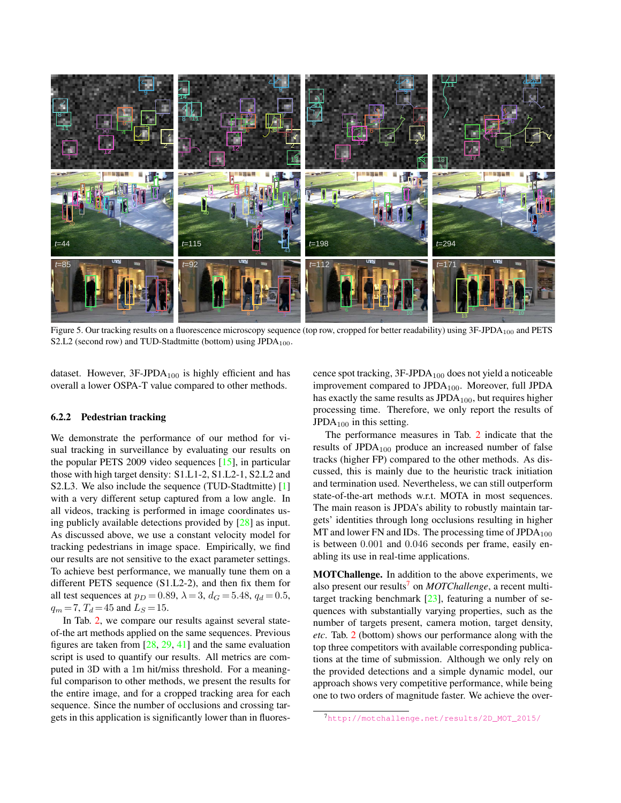

Figure 5. Our tracking results on a fluorescence microscopy sequence (top row, cropped for better readability) using 3F-JPDA<sub>100</sub> and PETS S2.L2 (second row) and TUD-Stadtmitte (bottom) using  $JPDA_{100}$ .

dataset. However,  $3F-JPDA_{100}$  is highly efficient and has overall a lower OSPA-T value compared to other methods.

### 6.2.2 Pedestrian tracking

We demonstrate the performance of our method for visual tracking in surveillance by evaluating our results on the popular PETS 2009 video sequences [\[15\]](#page-8-40), in particular those with high target density: S1.L1-2, S1.L2-1, S2.L2 and S2.L3. We also include the sequence (TUD-Stadtmitte) [\[1\]](#page-8-41) with a very different setup captured from a low angle. In all videos, tracking is performed in image coordinates using publicly available detections provided by [\[28\]](#page-8-2) as input. As discussed above, we use a constant velocity model for tracking pedestrians in image space. Empirically, we find our results are not sensitive to the exact parameter settings. To achieve best performance, we manually tune them on a different PETS sequence (S1.L2-2), and then fix them for all test sequences at  $p_D = 0.89$ ,  $\lambda = 3$ ,  $d_G = 5.48$ ,  $q_d = 0.5$ ,  $q_m = 7$ ,  $T_d = 45$  and  $L_s = 15$ .

In Tab. [2,](#page-7-0) we compare our results against several stateof-the art methods applied on the same sequences. Previous figures are taken from [\[28,](#page-8-2) [29,](#page-8-3) [41\]](#page-8-42) and the same evaluation script is used to quantify our results. All metrics are computed in 3D with a 1m hit/miss threshold. For a meaningful comparison to other methods, we present the results for the entire image, and for a cropped tracking area for each sequence. Since the number of occlusions and crossing targets in this application is significantly lower than in fluores-

cence spot tracking,  $3F$ -JPDA<sub>100</sub> does not yield a noticeable improvement compared to JPDA<sub>100</sub>. Moreover, full JPDA has exactly the same results as  $JPDA_{100}$ , but requires higher processing time. Therefore, we only report the results of  $JPDA<sub>100</sub>$  in this setting.

The performance measures in Tab. [2](#page-7-0) indicate that the results of JPDA<sub>100</sub> produce an increased number of false tracks (higher FP) compared to the other methods. As discussed, this is mainly due to the heuristic track initiation and termination used. Nevertheless, we can still outperform state-of-the-art methods w.r.t. MOTA in most sequences. The main reason is JPDA's ability to robustly maintain targets' identities through long occlusions resulting in higher MT and lower FN and IDs. The processing time of  $JPDA_{100}$ is between 0.001 and 0.046 seconds per frame, easily enabling its use in real-time applications.

MOTChallenge. In addition to the above experiments, we also present our results<sup>[7](#page-6-0)</sup> on *MOTChallenge*, a recent multitarget tracking benchmark  $[23]$ , featuring a number of sequences with substantially varying properties, such as the number of targets present, camera motion, target density, *etc*. Tab. [2](#page-7-0) (bottom) shows our performance along with the top three competitors with available corresponding publications at the time of submission. Although we only rely on the provided detections and a simple dynamic model, our approach shows very competitive performance, while being one to two orders of magnitude faster. We achieve the over-

<span id="page-6-0"></span>[http://motchallenge.net/results/2D\\_MOT\\_2015/](http://motchallenge.net/results/2D_MOT_2015/)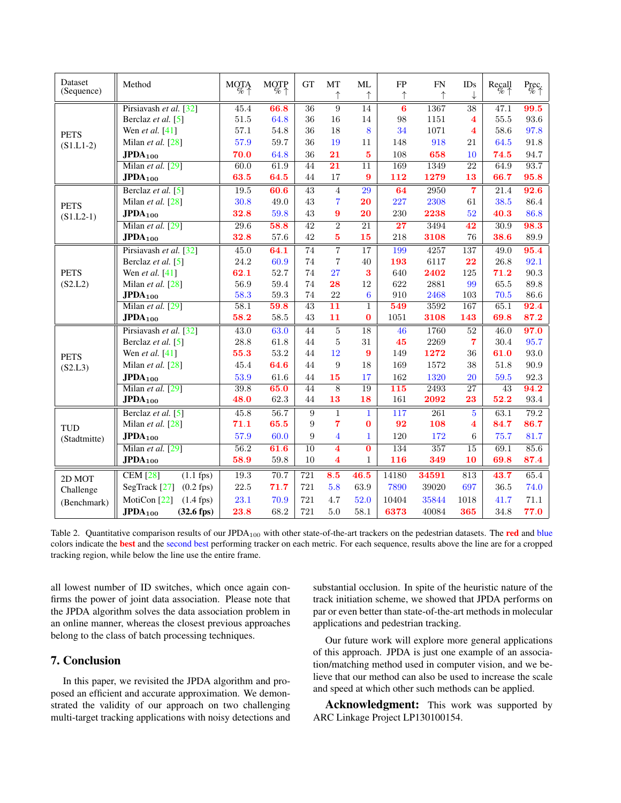| Dataset<br>(Sequence)              | Method                                 | MQ <sub>6</sub> | $MQ^{\text{TP}}_{\%}$ | GT               | MT                       | ML<br>↑                 | FP              | <b>FN</b>        | <b>IDs</b><br>↓                                    | $\text{Recall}$ | $P_{\overline{O}_{\!\!O}^c}\neq$ |
|------------------------------------|----------------------------------------|-----------------|-----------------------|------------------|--------------------------|-------------------------|-----------------|------------------|----------------------------------------------------|-----------------|----------------------------------|
|                                    |                                        |                 |                       |                  |                          |                         |                 |                  |                                                    |                 |                                  |
| <b>PETS</b><br>$(S1.L1-2)$         | Pirsiavash et al. [32]                 | 45.4            | 66.8                  | 36               | 9                        | 14                      | 6               | 1367             | $\overline{38}$                                    | 47.1            | 99.5                             |
|                                    | Berclaz et al. [5]                     | $51.5\,$        | 64.8                  | 36<br>36         | 16<br>18                 | 14<br>8                 | 98<br>34        | 1151             | $\overline{\mathbf{4}}$<br>$\overline{\mathbf{4}}$ | 55.5            | 93.6                             |
|                                    | Wen et al. $[41]$                      | 57.1            | 54.8                  |                  |                          |                         |                 | 1071             |                                                    | 58.6            | 97.8                             |
|                                    | Milan et al. [28]                      | 57.9            | 59.7                  | 36               | 19                       | 11                      | 148             | 918              | 21                                                 | 64.5            | $91.8\,$                         |
|                                    | $JPDA_{100}$                           | 70.0            | 64.8                  | 36               | 21                       | $5\phantom{1}$          | 108             | 658              | 10                                                 | 74.5            | 94.7                             |
|                                    | Milan et al. [29]                      | 60.0            | 61.9                  | 44               | $\overline{21}$          | $\overline{11}$         | 169             | 1349             | 22                                                 | 64.9            | 93.7                             |
|                                    | $JPDA_{100}$                           | 63.5            | 64.5                  | $44\,$           | 17                       | 9                       | 112             | 1279             | 13                                                 | 66.7            | 95.8                             |
| <b>PETS</b><br>$(S1.L2-1)$         | Berclaz et al. [5]                     | 19.5            | 60.6                  | 43               | $\overline{4}$           | 29                      | 64              | 2950             | $\overline{7}$                                     | 21.4            | 92.6                             |
|                                    | Milan et al. [28]                      | 30.8            | 49.0                  | 43               | $\overline{7}$           | 20                      | 227             | 2308             | 61                                                 | 38.5            | 86.4                             |
|                                    | $JPDA_{100}$                           | 32.8            | 59.8                  | 43               | 9                        | 20                      | 230             | 2238             | 52                                                 | 40.3            | 86.8                             |
|                                    | Milan et al. [29]                      | 29.6            | 58.8                  | 42               | $\overline{2}$           | $\overline{21}$         | $\overline{27}$ | 3494             | $\overline{42}$                                    | 30.9            | 98.3                             |
|                                    | $JPDA_{100}$                           | 32.8            | 57.6                  | 42               | 5                        | 15                      | 218             | 3108             | 76                                                 | 38.6            | $89.9\,$                         |
|                                    | Pirsiavash et al. [32]                 | 45.0            | 64.1                  | $\overline{74}$  | 7                        | 17                      | 199             | 4257             | 137                                                | 49.0            | 95.4                             |
|                                    | Berclaz et al. [5]                     | 24.2            | 60.9                  | 74               | $\overline{\mathcal{C}}$ | 40                      | 193             | 6117             | 22                                                 | 26.8            | 92.1                             |
| <b>PETS</b>                        | Wen et al. [41]                        | 62.1            | 52.7                  | 74               | 27                       | 3                       | 640             | 2402             | 125                                                | 71.2            | 90.3                             |
| (S2.L2)                            | Milan et al. [28]                      | 56.9            | $59.4\,$              | $74\,$           | 28                       | 12                      | 622             | 2881             | 99                                                 | 65.5            | 89.8                             |
|                                    | $JPDA_{100}$                           | 58.3            | 59.3                  | 74               | 22                       | 6                       | 910             | 2468             | 103                                                | 70.5            | 86.6                             |
|                                    | Milan et al. [29]                      | 58.1            | 59.8                  | 43               | $\overline{11}$          | $\mathbf{1}$            | 549             | 3592             | 167                                                | 65.1            | 92.4                             |
|                                    | $JPDA_{100}$                           | 58.2            | 58.5                  | 43               | 11                       | $\bf{0}$                | 1051            | 3108             | 143                                                | 69.8            | 87.2                             |
|                                    | Pirsiavash et al. [32]                 | 43.0            | 63.0                  | 44               | $\bf 5$                  | 18                      | 46              | 1760             | $52\,$                                             | 46.0            | 97.0                             |
| <b>PETS</b><br>(S2.L3)             | Berclaz et al. [5]                     | 28.8            | 61.8                  | 44               | 5                        | 31                      | 45              | 2269             | $\overline{7}$                                     | 30.4            | 95.7                             |
|                                    | Wen et al. $[41]$                      | 55.3            | 53.2                  | 44               | 12                       | 9                       | 149             | 1272             | 36                                                 | 61.0            | 93.0                             |
|                                    | Milan et al. [28]                      | 45.4            | 64.6                  | 44               | 9                        | 18                      | 169             | 1572             | 38                                                 | 51.8            | $90.9\,$                         |
|                                    | $JPDA_{100}$                           | 53.9            | 61.6                  | 44               | 15                       | 17                      | 162             | 1320             | 20                                                 | 59.5            | 92.3                             |
|                                    | Milan et al. [29]                      | 39.8            | 65.0                  | 44               | $\overline{8}$           | 19                      | 115             | 2493             | 27                                                 | 43              | 94.2                             |
|                                    | $JPDA_{100}$                           | 48.0            | 62.3                  | 44               | 13                       | 18                      | 161             | 2092             | 23                                                 | 52.2            | $93.4\,$                         |
| <b>TUD</b><br>(Stadtmitte)         | Berclaz et al. [5]                     | 45.8            | 56.7                  | $\overline{9}$   | 1                        | $\mathbf{1}$            | 117             | 261              | $\overline{5}$                                     | 63.1            | 79.2                             |
|                                    | Milan et al. [28]                      | 71.1            | 65.5                  | $\boldsymbol{9}$ | $\overline{7}$           | $\bf{0}$                | 92              | 108              | $\overline{\mathbf{4}}$                            | 84.7            | 86.7                             |
|                                    | $JPDA_{100}$                           | 57.9            | 60.0                  | 9                | $\overline{4}$           | $\mathbf{1}$            | 120             | 172              | 6                                                  | 75.7            | 81.7                             |
|                                    | Milan et al. [29]                      | 56.2            | 61.6                  | $\overline{10}$  | $\overline{\mathbf{4}}$  | $\overline{\mathbf{0}}$ | 134             | $\overline{357}$ | $\overline{15}$                                    | 69.1            | 85.6                             |
|                                    | $JPDA_{100}$                           | 58.9            | 59.8                  | 10               | $\overline{\mathbf{4}}$  | $\mathbf{1}$            | 116             | 349              | 10                                                 | 69.8            | 87.4                             |
|                                    | <b>CEM</b> [28]<br>$(1.1$ fps)         | 19.3            | 70.7                  | 721              | 8.5                      | 46.5                    | 14180           | 34591            | 813                                                | 43.7            | 65.4                             |
| 2D MOT<br>Challenge<br>(Benchmark) | SegTrack [27]<br>$(0.2$ fps $)$        | $22.5\,$        | 71.7                  | 721              | 5.8                      | 63.9                    | 7890            | 39020            | 697                                                | 36.5            | 74.0                             |
|                                    |                                        |                 |                       |                  |                          |                         |                 |                  |                                                    |                 |                                  |
|                                    | MotiCon <sup>[22]</sup><br>$(1.4$ fps) | 23.1            | 70.9                  | 721              | 4.7                      | 52.0                    | 10404           | 35844            | 1018                                               | 41.7            | 71.1                             |
|                                    | $JPDA_{100}$<br>$(32.6$ fps $)$        | 23.8            | 68.2                  | 721              | $5.0\,$                  | $58.1\,$                | 6373            | 40084            | 365                                                | 34.8            | 77.0                             |

<span id="page-7-0"></span>Table 2. Quantitative comparison results of our JPDA<sub>100</sub> with other state-of-the-art trackers on the pedestrian datasets. The **red** and blue colors indicate the **best** and the second best performing tracker on each metric. For each sequence, results above the line are for a cropped tracking region, while below the line use the entire frame.

all lowest number of ID switches, which once again confirms the power of joint data association. Please note that the JPDA algorithm solves the data association problem in an online manner, whereas the closest previous approaches belong to the class of batch processing techniques.

# 7. Conclusion

In this paper, we revisited the JPDA algorithm and proposed an efficient and accurate approximation. We demonstrated the validity of our approach on two challenging multi-target tracking applications with noisy detections and

substantial occlusion. In spite of the heuristic nature of the track initiation scheme, we showed that JPDA performs on par or even better than state-of-the-art methods in molecular applications and pedestrian tracking.

Our future work will explore more general applications of this approach. JPDA is just one example of an association/matching method used in computer vision, and we believe that our method can also be used to increase the scale and speed at which other such methods can be applied.

Acknowledgment: This work was supported by ARC Linkage Project LP130100154.